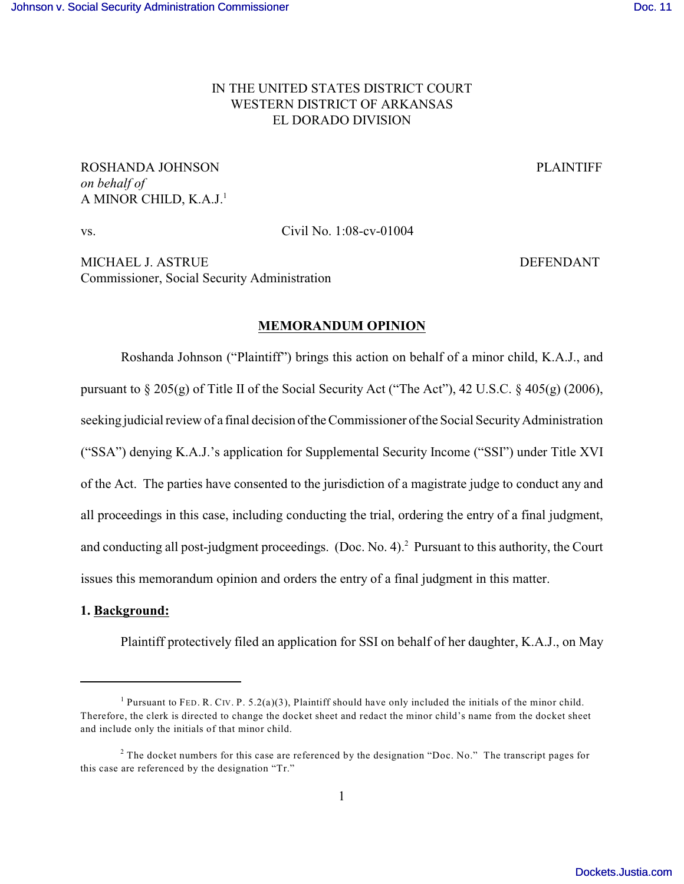# IN THE UNITED STATES DISTRICT COURT WESTERN DISTRICT OF ARKANSAS EL DORADO DIVISION

ROSHANDA JOHNSON PLAINTIFF *on behalf of*  A MINOR CHILD, K.A.J.<sup>1</sup>

vs. Civil No. 1:08-cv-01004

MICHAEL J. ASTRUE **DEFENDANT** Commissioner, Social Security Administration

### **MEMORANDUM OPINION**

Roshanda Johnson ("Plaintiff") brings this action on behalf of a minor child, K.A.J., and pursuant to § 205(g) of Title II of the Social Security Act ("The Act"), 42 U.S.C. § 405(g) (2006), seeking judicial review of a final decision of the Commissioner of the Social Security Administration ("SSA") denying K.A.J.'s application for Supplemental Security Income ("SSI") under Title XVI of the Act. The parties have consented to the jurisdiction of a magistrate judge to conduct any and all proceedings in this case, including conducting the trial, ordering the entry of a final judgment, and conducting all post-judgment proceedings. (Doc. No. 4).<sup>2</sup> Pursuant to this authority, the Court issues this memorandum opinion and orders the entry of a final judgment in this matter.

### **1. Background:**

Plaintiff protectively filed an application for SSI on behalf of her daughter, K.A.J., on May

<sup>&</sup>lt;sup>1</sup> Pursuant to FED. R. CIV. P. 5.2(a)(3), Plaintiff should have only included the initials of the minor child. Therefore, the clerk is directed to change the docket sheet and redact the minor child's name from the docket sheet and include only the initials of that minor child.

<sup>&</sup>lt;sup>2</sup> The docket numbers for this case are referenced by the designation "Doc. No." The transcript pages for this case are referenced by the designation "Tr."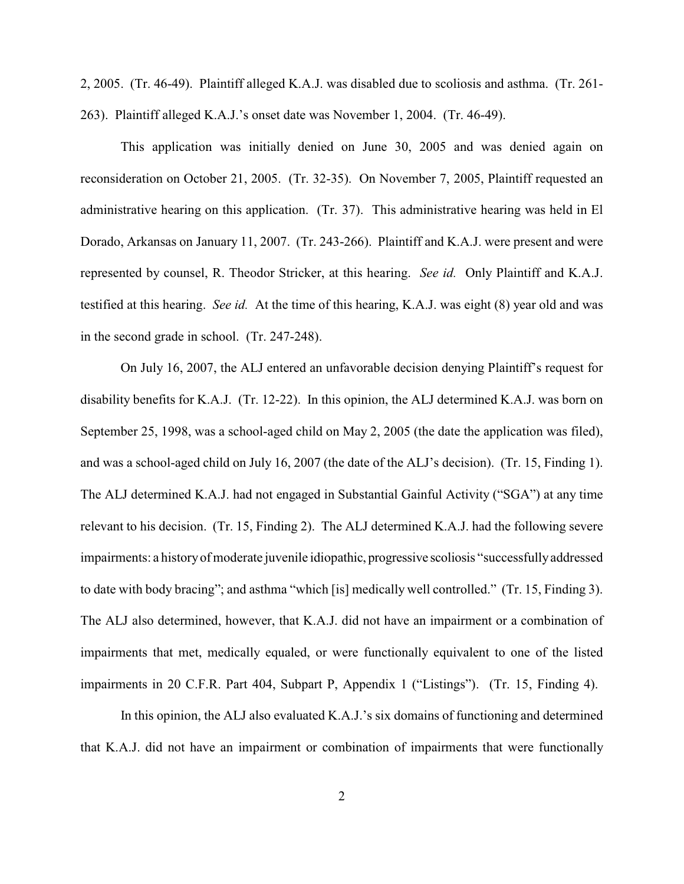2, 2005. (Tr. 46-49). Plaintiff alleged K.A.J. was disabled due to scoliosis and asthma. (Tr. 261- 263). Plaintiff alleged K.A.J.'s onset date was November 1, 2004. (Tr. 46-49).

This application was initially denied on June 30, 2005 and was denied again on reconsideration on October 21, 2005. (Tr. 32-35). On November 7, 2005, Plaintiff requested an administrative hearing on this application. (Tr. 37). This administrative hearing was held in El Dorado, Arkansas on January 11, 2007. (Tr. 243-266). Plaintiff and K.A.J. were present and were represented by counsel, R. Theodor Stricker, at this hearing. *See id.* Only Plaintiff and K.A.J. testified at this hearing. *See id.* At the time of this hearing, K.A.J. was eight (8) year old and was in the second grade in school. (Tr. 247-248).

On July 16, 2007, the ALJ entered an unfavorable decision denying Plaintiff's request for disability benefits for K.A.J. (Tr. 12-22). In this opinion, the ALJ determined K.A.J. was born on September 25, 1998, was a school-aged child on May 2, 2005 (the date the application was filed), and was a school-aged child on July 16, 2007 (the date of the ALJ's decision). (Tr. 15, Finding 1). The ALJ determined K.A.J. had not engaged in Substantial Gainful Activity ("SGA") at any time relevant to his decision. (Tr. 15, Finding 2). The ALJ determined K.A.J. had the following severe impairments: a history of moderate juvenile idiopathic, progressive scoliosis "successfully addressed to date with body bracing"; and asthma "which [is] medically well controlled." (Tr. 15, Finding 3). The ALJ also determined, however, that K.A.J. did not have an impairment or a combination of impairments that met, medically equaled, or were functionally equivalent to one of the listed impairments in 20 C.F.R. Part 404, Subpart P, Appendix 1 ("Listings"). (Tr. 15, Finding 4).

In this opinion, the ALJ also evaluated K.A.J.'s six domains of functioning and determined that K.A.J. did not have an impairment or combination of impairments that were functionally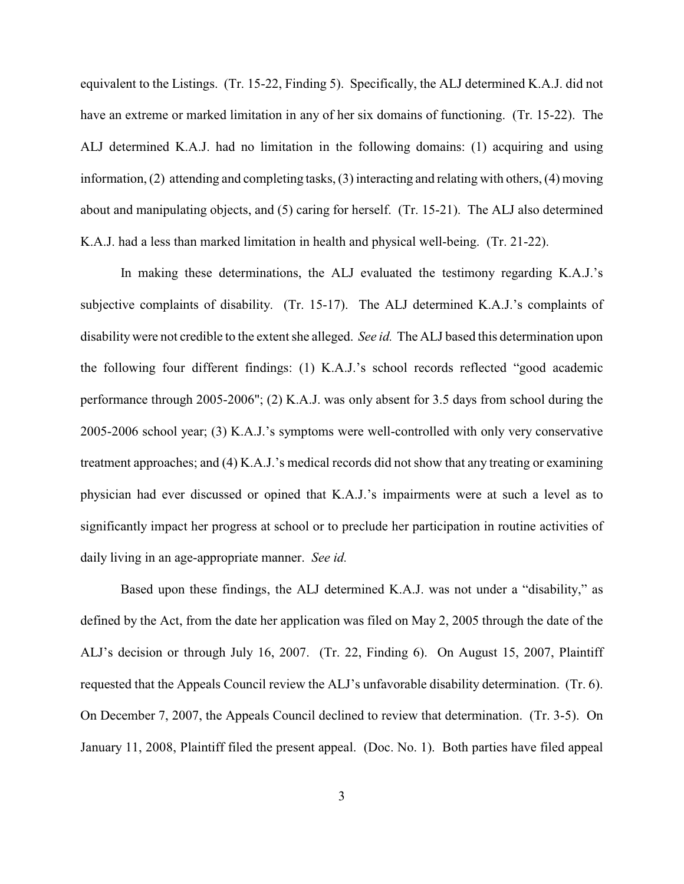equivalent to the Listings. (Tr. 15-22, Finding 5). Specifically, the ALJ determined K.A.J. did not have an extreme or marked limitation in any of her six domains of functioning. (Tr. 15-22). The ALJ determined K.A.J. had no limitation in the following domains: (1) acquiring and using information, (2) attending and completing tasks, (3) interacting and relating with others, (4) moving about and manipulating objects, and (5) caring for herself. (Tr. 15-21). The ALJ also determined K.A.J. had a less than marked limitation in health and physical well-being. (Tr. 21-22).

In making these determinations, the ALJ evaluated the testimony regarding K.A.J.'s subjective complaints of disability. (Tr. 15-17). The ALJ determined K.A.J.'s complaints of disability were not credible to the extent she alleged. *See id.* The ALJ based this determination upon the following four different findings: (1) K.A.J.'s school records reflected "good academic performance through 2005-2006"; (2) K.A.J. was only absent for 3.5 days from school during the 2005-2006 school year; (3) K.A.J.'s symptoms were well-controlled with only very conservative treatment approaches; and (4) K.A.J.'s medical records did not show that any treating or examining physician had ever discussed or opined that K.A.J.'s impairments were at such a level as to significantly impact her progress at school or to preclude her participation in routine activities of daily living in an age-appropriate manner. *See id.* 

Based upon these findings, the ALJ determined K.A.J. was not under a "disability," as defined by the Act, from the date her application was filed on May 2, 2005 through the date of the ALJ's decision or through July 16, 2007. (Tr. 22, Finding 6). On August 15, 2007, Plaintiff requested that the Appeals Council review the ALJ's unfavorable disability determination. (Tr. 6). On December 7, 2007, the Appeals Council declined to review that determination. (Tr. 3-5). On January 11, 2008, Plaintiff filed the present appeal. (Doc. No. 1). Both parties have filed appeal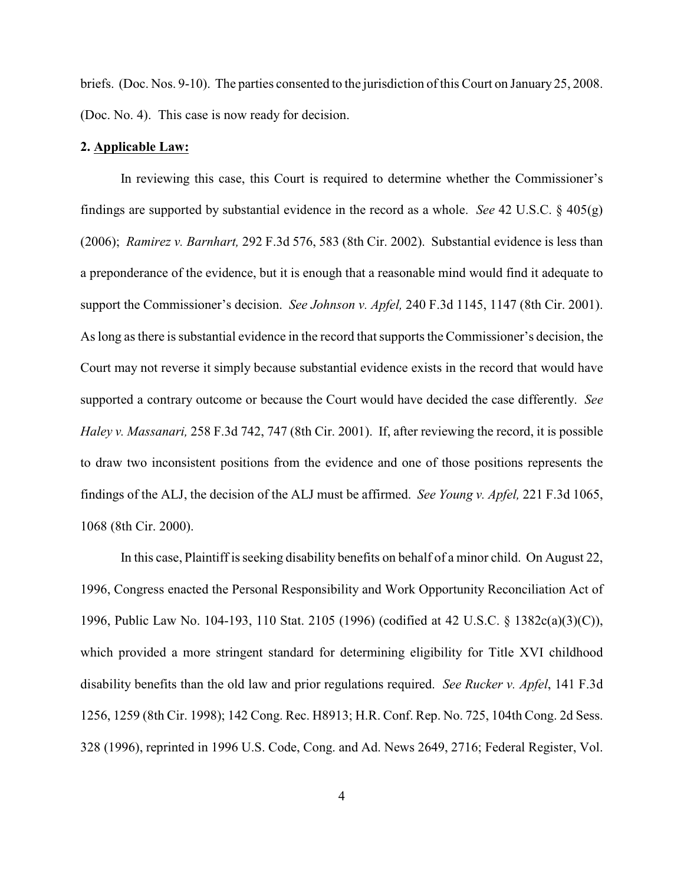briefs. (Doc. Nos. 9-10). The parties consented to the jurisdiction of this Court on January 25, 2008. (Doc. No. 4). This case is now ready for decision.

#### **2. Applicable Law:**

In reviewing this case, this Court is required to determine whether the Commissioner's findings are supported by substantial evidence in the record as a whole. *See* 42 U.S.C. § 405(g) (2006); *Ramirez v. Barnhart,* 292 F.3d 576, 583 (8th Cir. 2002). Substantial evidence is less than a preponderance of the evidence, but it is enough that a reasonable mind would find it adequate to support the Commissioner's decision. *See Johnson v. Apfel,* 240 F.3d 1145, 1147 (8th Cir. 2001). As long as there is substantial evidence in the record that supports the Commissioner's decision, the Court may not reverse it simply because substantial evidence exists in the record that would have supported a contrary outcome or because the Court would have decided the case differently. *See Haley v. Massanari,* 258 F.3d 742, 747 (8th Cir. 2001). If, after reviewing the record, it is possible to draw two inconsistent positions from the evidence and one of those positions represents the findings of the ALJ, the decision of the ALJ must be affirmed. *See Young v. Apfel,* 221 F.3d 1065, 1068 (8th Cir. 2000).

In this case, Plaintiff is seeking disability benefits on behalf of a minor child. On August 22, 1996, Congress enacted the Personal Responsibility and Work Opportunity Reconciliation Act of 1996, Public Law No. 104-193, 110 Stat. 2105 (1996) (codified at 42 U.S.C. § 1382c(a)(3)(C)), which provided a more stringent standard for determining eligibility for Title XVI childhood disability benefits than the old law and prior regulations required. *See Rucker v. Apfel*, 141 F.3d 1256, 1259 (8th Cir. 1998); 142 Cong. Rec. H8913; H.R. Conf. Rep. No. 725, 104th Cong. 2d Sess. 328 (1996), reprinted in 1996 U.S. Code, Cong. and Ad. News 2649, 2716; Federal Register, Vol.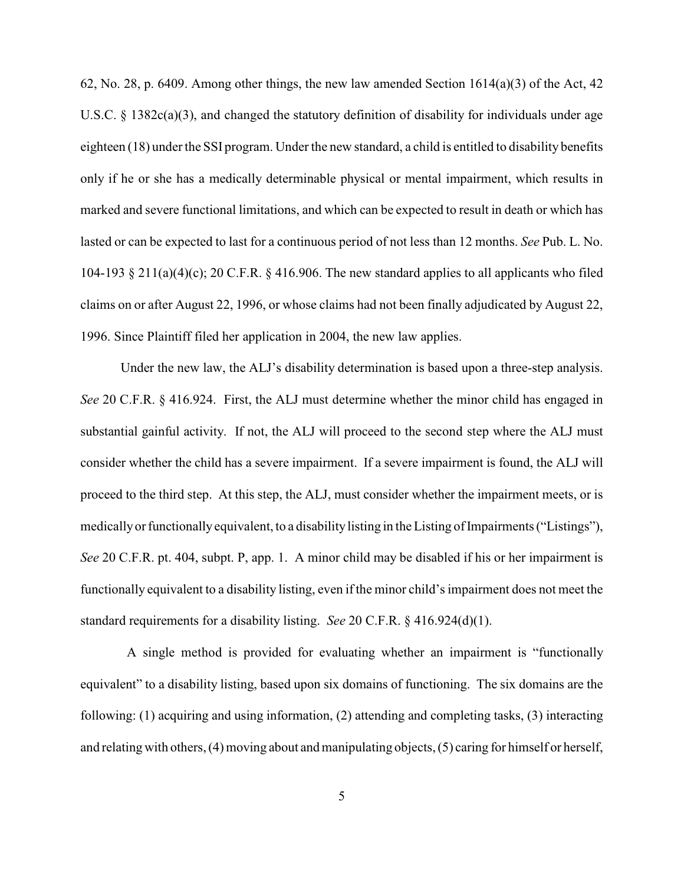62, No. 28, p. 6409. Among other things, the new law amended Section  $1614(a)(3)$  of the Act, 42 U.S.C.  $\S$  1382c(a)(3), and changed the statutory definition of disability for individuals under age eighteen (18) under the SSI program. Under the new standard, a child is entitled to disability benefits only if he or she has a medically determinable physical or mental impairment, which results in marked and severe functional limitations, and which can be expected to result in death or which has lasted or can be expected to last for a continuous period of not less than 12 months. *See* Pub. L. No. 104-193 § 211(a)(4)(c); 20 C.F.R. § 416.906. The new standard applies to all applicants who filed claims on or after August 22, 1996, or whose claims had not been finally adjudicated by August 22, 1996. Since Plaintiff filed her application in 2004, the new law applies.

Under the new law, the ALJ's disability determination is based upon a three-step analysis. *See* 20 C.F.R. § 416.924. First, the ALJ must determine whether the minor child has engaged in substantial gainful activity. If not, the ALJ will proceed to the second step where the ALJ must consider whether the child has a severe impairment. If a severe impairment is found, the ALJ will proceed to the third step. At this step, the ALJ, must consider whether the impairment meets, or is medically or functionally equivalent, to a disability listing in the Listing of Impairments ("Listings"), *See* 20 C.F.R. pt. 404, subpt. P, app. 1. A minor child may be disabled if his or her impairment is functionally equivalent to a disability listing, even ifthe minor child's impairment does not meet the standard requirements for a disability listing. *See* 20 C.F.R. § 416.924(d)(1).

 A single method is provided for evaluating whether an impairment is "functionally equivalent" to a disability listing, based upon six domains of functioning. The six domains are the following: (1) acquiring and using information, (2) attending and completing tasks, (3) interacting and relating with others, (4) moving about and manipulating objects, (5) caring for himself or herself,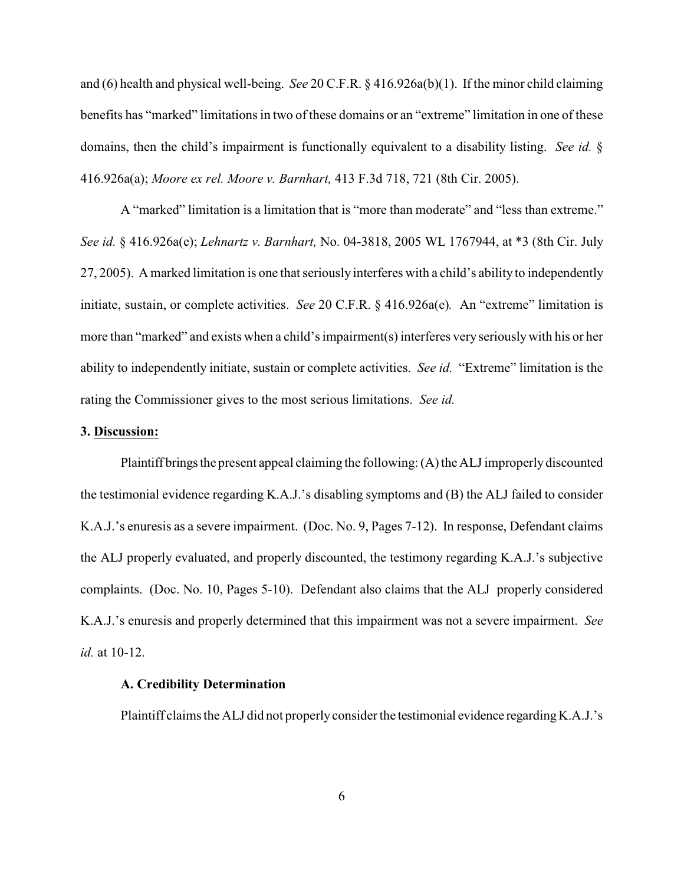and (6) health and physical well-being. *See* 20 C.F.R. § 416.926a(b)(1). If the minor child claiming benefits has "marked" limitations in two of these domains or an "extreme" limitation in one of these domains, then the child's impairment is functionally equivalent to a disability listing. *See id.* § 416.926a(a); *Moore ex rel. Moore v. Barnhart,* 413 F.3d 718, 721 (8th Cir. 2005).

A "marked" limitation is a limitation that is "more than moderate" and "less than extreme." *See id.* § 416.926a(e); *Lehnartz v. Barnhart,* No. 04-3818, 2005 WL 1767944, at \*3 (8th Cir. July 27, 2005). A marked limitation is one that seriously interferes with a child's ability to independently initiate, sustain, or complete activities. *See* 20 C.F.R. § 416.926a(e)*.* An "extreme" limitation is more than "marked" and exists when a child's impairment(s) interferes veryseriouslywith his or her ability to independently initiate, sustain or complete activities. *See id.* "Extreme" limitation is the rating the Commissioner gives to the most serious limitations. *See id.* 

### **3. Discussion:**

Plaintiff brings the present appeal claiming the following: (A) the ALJ improperly discounted the testimonial evidence regarding K.A.J.'s disabling symptoms and (B) the ALJ failed to consider K.A.J.'s enuresis as a severe impairment. (Doc. No. 9, Pages 7-12). In response, Defendant claims the ALJ properly evaluated, and properly discounted, the testimony regarding K.A.J.'s subjective complaints. (Doc. No. 10, Pages 5-10). Defendant also claims that the ALJ properly considered K.A.J.'s enuresis and properly determined that this impairment was not a severe impairment. *See id.* at 10-12.

### **A. Credibility Determination**

Plaintiff claims the ALJ did not properly consider the testimonial evidence regarding K.A.J.'s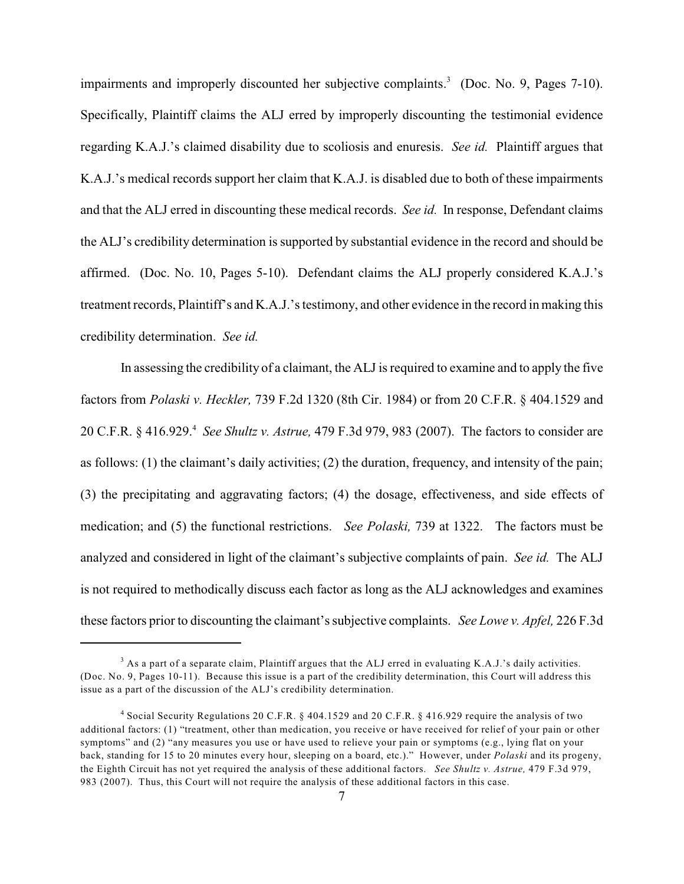impairments and improperly discounted her subjective complaints.<sup>3</sup> (Doc. No. 9, Pages 7-10). Specifically, Plaintiff claims the ALJ erred by improperly discounting the testimonial evidence regarding K.A.J.'s claimed disability due to scoliosis and enuresis. *See id.* Plaintiff argues that K.A.J.'s medical records support her claim that K.A.J. is disabled due to both of these impairments and that the ALJ erred in discounting these medical records. *See id.* In response, Defendant claims the ALJ's credibility determination is supported by substantial evidence in the record and should be affirmed. (Doc. No. 10, Pages 5-10). Defendant claims the ALJ properly considered K.A.J.'s treatment records, Plaintiff's and K.A.J.'stestimony, and other evidence in the record in making this credibility determination. *See id.* 

In assessing the credibility of a claimant, the ALJ is required to examine and to apply the five factors from *Polaski v. Heckler,* 739 F.2d 1320 (8th Cir. 1984) or from 20 C.F.R. § 404.1529 and 20 C.F.R. § 416.929. *See Shultz v. Astrue,* 479 F.3d 979, 983 (2007). The factors to consider are <sup>4</sup> as follows: (1) the claimant's daily activities; (2) the duration, frequency, and intensity of the pain; (3) the precipitating and aggravating factors; (4) the dosage, effectiveness, and side effects of medication; and (5) the functional restrictions. *See Polaski,* 739 at 1322. The factors must be analyzed and considered in light of the claimant's subjective complaints of pain. *See id.* The ALJ is not required to methodically discuss each factor as long as the ALJ acknowledges and examines these factors prior to discounting the claimant's subjective complaints. *See Lowe v. Apfel,* 226 F.3d

 $3$  As a part of a separate claim, Plaintiff argues that the ALJ erred in evaluating K.A.J.'s daily activities. (Doc. No. 9, Pages 10-11). Because this issue is a part of the credibility determination, this Court will address this issue as a part of the discussion of the ALJ's credibility determination.

<sup>&</sup>lt;sup>4</sup> Social Security Regulations 20 C.F.R. § 404.1529 and 20 C.F.R. § 416.929 require the analysis of two additional factors: (1) "treatment, other than medication, you receive or have received for relief of your pain or other symptoms" and (2) "any measures you use or have used to relieve your pain or symptoms (e.g., lying flat on your back, standing for 15 to 20 minutes every hour, sleeping on a board, etc.)." However, under *Polaski* and its progeny, the Eighth Circuit has not yet required the analysis of these additional factors. *See Shultz v. Astrue,* 479 F.3d 979, 983 (2007). Thus, this Court will not require the analysis of these additional factors in this case.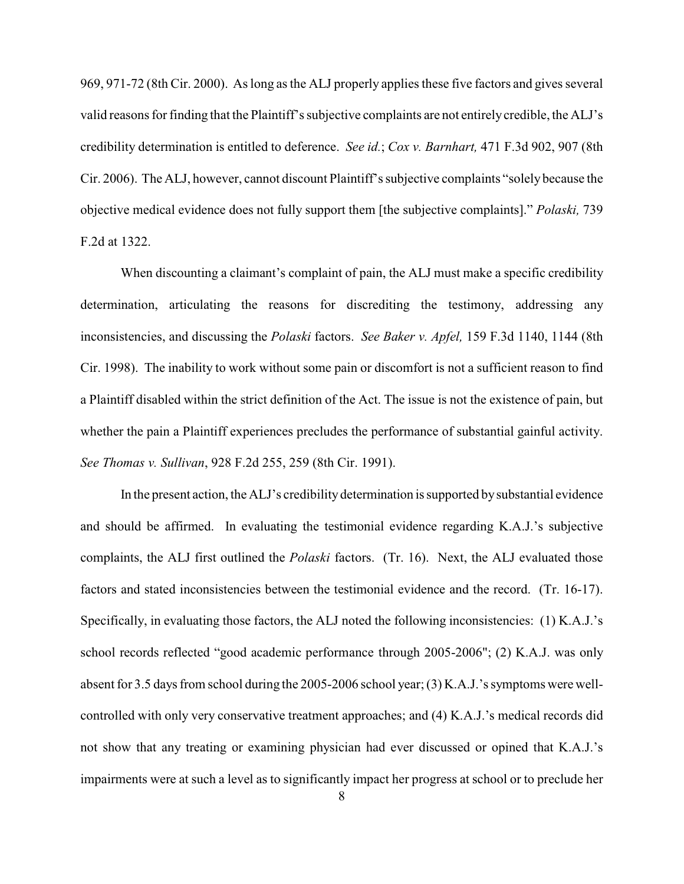969, 971-72 (8th Cir. 2000). As long as the ALJ properly applies these five factors and gives several valid reasons for finding that the Plaintiff's subjective complaints are not entirelycredible, the ALJ's credibility determination is entitled to deference. *See id.*; *Cox v. Barnhart,* 471 F.3d 902, 907 (8th Cir. 2006). The ALJ, however, cannot discount Plaintiff's subjective complaints "solely because the objective medical evidence does not fully support them [the subjective complaints]." *Polaski,* 739 F.2d at 1322.

When discounting a claimant's complaint of pain, the ALJ must make a specific credibility determination, articulating the reasons for discrediting the testimony, addressing any inconsistencies, and discussing the *Polaski* factors. *See Baker v. Apfel,* 159 F.3d 1140, 1144 (8th Cir. 1998). The inability to work without some pain or discomfort is not a sufficient reason to find a Plaintiff disabled within the strict definition of the Act. The issue is not the existence of pain, but whether the pain a Plaintiff experiences precludes the performance of substantial gainful activity. *See Thomas v. Sullivan*, 928 F.2d 255, 259 (8th Cir. 1991).

In the present action, the ALJ's credibility determination is supported by substantial evidence and should be affirmed. In evaluating the testimonial evidence regarding K.A.J.'s subjective complaints, the ALJ first outlined the *Polaski* factors. (Tr. 16). Next, the ALJ evaluated those factors and stated inconsistencies between the testimonial evidence and the record. (Tr. 16-17). Specifically, in evaluating those factors, the ALJ noted the following inconsistencies: (1) K.A.J.'s school records reflected "good academic performance through 2005-2006"; (2) K.A.J. was only absent for 3.5 days from school during the 2005-2006 school year; (3) K.A.J.'s symptoms were wellcontrolled with only very conservative treatment approaches; and (4) K.A.J.'s medical records did not show that any treating or examining physician had ever discussed or opined that K.A.J.'s impairments were at such a level as to significantly impact her progress at school or to preclude her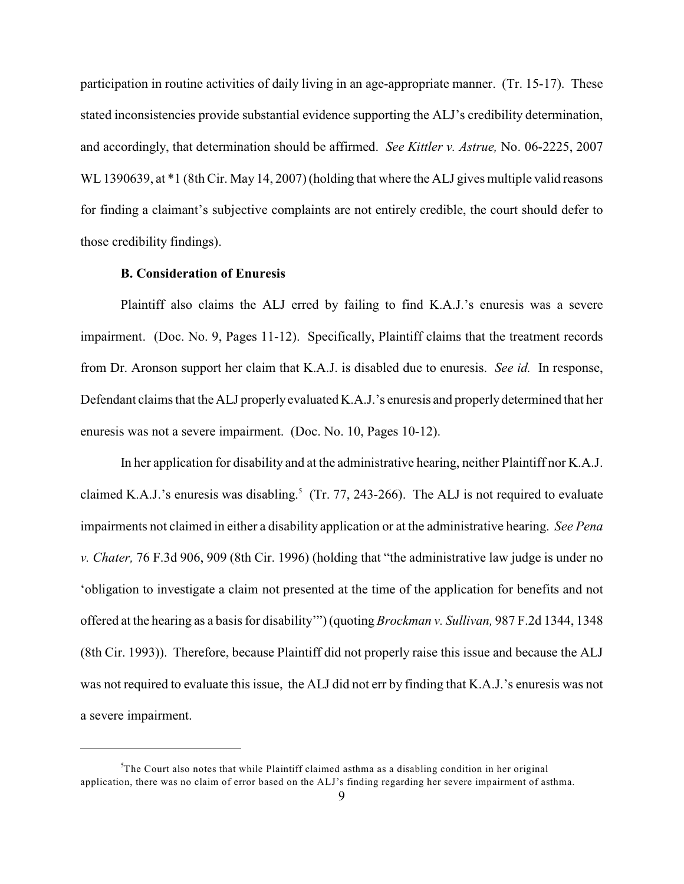participation in routine activities of daily living in an age-appropriate manner. (Tr. 15-17). These stated inconsistencies provide substantial evidence supporting the ALJ's credibility determination, and accordingly, that determination should be affirmed. *See Kittler v. Astrue,* No. 06-2225, 2007 WL 1390639, at  $*1$  (8th Cir. May 14, 2007) (holding that where the ALJ gives multiple valid reasons for finding a claimant's subjective complaints are not entirely credible, the court should defer to those credibility findings).

## **B. Consideration of Enuresis**

Plaintiff also claims the ALJ erred by failing to find K.A.J.'s enuresis was a severe impairment. (Doc. No. 9, Pages 11-12). Specifically, Plaintiff claims that the treatment records from Dr. Aronson support her claim that K.A.J. is disabled due to enuresis. *See id.* In response, Defendant claims that the ALJ properly evaluated K.A.J.'s enuresis and properly determined that her enuresis was not a severe impairment. (Doc. No. 10, Pages 10-12).

In her application for disability and at the administrative hearing, neither Plaintiff nor K.A.J. claimed K.A.J.'s enuresis was disabling.<sup>5</sup> (Tr. 77, 243-266). The ALJ is not required to evaluate impairments not claimed in either a disability application or at the administrative hearing. *See Pena v. Chater,* 76 F.3d 906, 909 (8th Cir. 1996) (holding that "the administrative law judge is under no 'obligation to investigate a claim not presented at the time of the application for benefits and not offered at the hearing as a basis for disability'") (quoting *Brockman v. Sullivan,* 987 F.2d 1344, 1348 (8th Cir. 1993)). Therefore, because Plaintiff did not properly raise this issue and because the ALJ was not required to evaluate this issue, the ALJ did not err by finding that K.A.J.'s enuresis was not a severe impairment.

 $5$ The Court also notes that while Plaintiff claimed asthma as a disabling condition in her original application, there was no claim of error based on the ALJ's finding regarding her severe impairment of asthma.